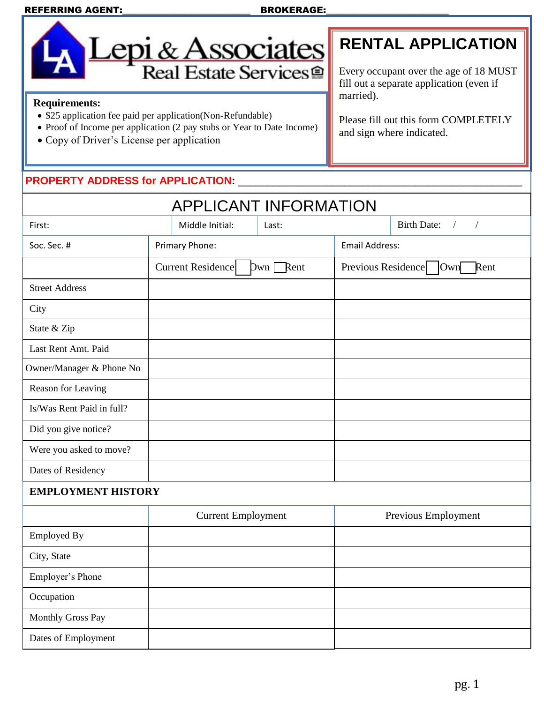#### REFERRING AGENT:\_\_\_\_\_\_\_\_\_\_\_\_\_\_\_\_\_\_\_\_\_\_\_\_ BROKERAGE:\_\_\_\_\_\_\_\_\_\_\_\_\_\_\_\_\_\_\_\_\_\_\_



# **RENTAL APPLICATION**

Every occupant over the age of 18 MUST fill out a separate application (even if married).

Please fill out this form COMPLETELY and sign where indicated.

### **Requirements:**

Dates of Employment

- \$25 application fee paid per application(Non-Refundable)
- Proof of Income per application (2 pay stubs or Year to Date Income)
- Copy of Driver's License per application

#### **PROPERTY ADDRESS for APPLICATION:** \_\_\_\_\_\_\_\_\_\_\_\_\_\_\_\_\_\_\_\_\_\_\_\_\_\_\_\_\_\_\_\_\_\_\_\_\_\_\_\_\_\_\_\_\_\_\_\_

| <b>APPLICANT INFORMATION</b> |                           |                 |                            |                                              |                                                |  |
|------------------------------|---------------------------|-----------------|----------------------------|----------------------------------------------|------------------------------------------------|--|
| First:                       |                           | Middle Initial: | Last:                      |                                              | <b>Birth Date:</b><br>$\sqrt{2}$<br>$\sqrt{2}$ |  |
| Soc. Sec. #                  | Primary Phone:            |                 |                            | <b>Email Address:</b>                        |                                                |  |
|                              | Current Residence         |                 | $Dwn \nightharpoonup$ Rent | Previous Residence<br>$\text{I}$ Own<br>Rent |                                                |  |
| <b>Street Address</b>        |                           |                 |                            |                                              |                                                |  |
| City                         |                           |                 |                            |                                              |                                                |  |
| State & Zip                  |                           |                 |                            |                                              |                                                |  |
| Last Rent Amt. Paid          |                           |                 |                            |                                              |                                                |  |
| Owner/Manager & Phone No     |                           |                 |                            |                                              |                                                |  |
| Reason for Leaving           |                           |                 |                            |                                              |                                                |  |
| Is/Was Rent Paid in full?    |                           |                 |                            |                                              |                                                |  |
| Did you give notice?         |                           |                 |                            |                                              |                                                |  |
| Were you asked to move?      |                           |                 |                            |                                              |                                                |  |
| Dates of Residency           |                           |                 |                            |                                              |                                                |  |
| <b>EMPLOYMENT HISTORY</b>    |                           |                 |                            |                                              |                                                |  |
|                              | <b>Current Employment</b> |                 | Previous Employment        |                                              |                                                |  |
| <b>Employed By</b>           |                           |                 |                            |                                              |                                                |  |
| City, State                  |                           |                 |                            |                                              |                                                |  |
| Employer's Phone             |                           |                 |                            |                                              |                                                |  |
| Occupation                   |                           |                 |                            |                                              |                                                |  |
| Monthly Gross Pay            |                           |                 |                            |                                              |                                                |  |